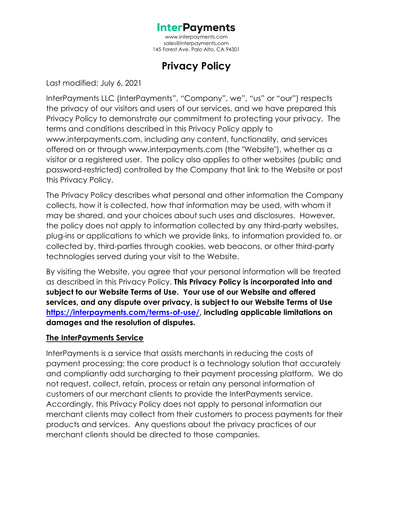[www.interpayments.com](http://www.interpayments.com/) [sales@interpayments.com](mailto:sales@interpayments.com) 145 Forest Ave. Palo Alto, CA 94301

# **Privacy Policy**

Last modified: July 6, 2021

InterPayments LLC (InterPayments", "Company", we", "us" or "our") respects the privacy of our visitors and users of our services, and we have prepared this Privacy Policy to demonstrate our commitment to protecting your privacy. The terms and conditions described in this Privacy Policy apply to www.interpayments.com, including any content, functionality, and services offered on or through www.interpayments.com (the "Website"), whether as a visitor or a registered user. The policy also applies to other websites (public and password-restricted) controlled by the Company that link to the Website or post this Privacy Policy.

The Privacy Policy describes what personal and other information the Company collects, how it is collected, how that information may be used, with whom it may be shared, and your choices about such uses and disclosures. However, the policy does not apply to information collected by any third-party websites, plug-ins or applications to which we provide links, to information provided to, or collected by, third-parties through cookies, web beacons, or other third-party technologies served during your visit to the Website.

By visiting the Website, you agree that your personal information will be treated as described in this Privacy Policy. **This Privacy Policy is incorporated into and subject to our Website Terms of Use. Your use of our Website and offered services, and any dispute over privacy, is subject to our Website Terms of Use [https://interpayments.com/terms-of-use/,](https://interpayments.com/terms-of-use/) including applicable limitations on damages and the resolution of disputes.** 

#### **The InterPayments Service**

InterPayments is a service that assists merchants in reducing the costs of payment processing; the core product is a technology solution that accurately and compliantly add surcharging to their payment processing platform. We do not request, collect, retain, process or retain any personal information of customers of our merchant clients to provide the InterPayments service. Accordingly, this Privacy Policy does not apply to personal information our merchant clients may collect from their customers to process payments for their products and services. Any questions about the privacy practices of our merchant clients should be directed to those companies.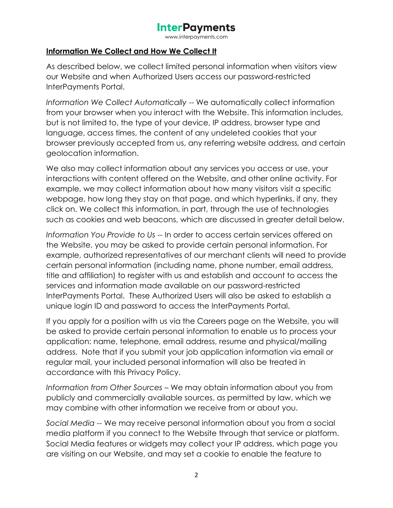www.interpayments.com

#### **Information We Collect and How We Collect It**

As described below, we collect limited personal information when visitors view our Website and when Authorized Users access our password-restricted InterPayments Portal.

*Information We Collect Automatically* -- We automatically collect information from your browser when you interact with the Website. This information includes, but is not limited to, the type of your device, IP address, browser type and language, access times, the content of any undeleted cookies that your browser previously accepted from us, any referring website address, and certain geolocation information.

We also may collect information about any services you access or use, your interactions with content offered on the Website, and other online activity. For example, we may collect information about how many visitors visit a specific webpage, how long they stay on that page, and which hyperlinks, if any, they click on. We collect this information, in part, through the use of technologies such as cookies and web beacons, which are discussed in greater detail below.

*Information You Provide to Us* -- In order to access certain services offered on the Website, you may be asked to provide certain personal information. For example, authorized representatives of our merchant clients will need to provide certain personal information (including name, phone number, email address, title and affiliation) to register with us and establish and account to access the services and information made available on our password-restricted InterPayments Portal. These Authorized Users will also be asked to establish a unique login ID and password to access the InterPayments Portal.

If you apply for a position with us via the Careers page on the Website, you will be asked to provide certain personal information to enable us to process your application: name, telephone, email address, resume and physical/mailing address. Note that if you submit your job application information via email or regular mail, your included personal information will also be treated in accordance with this Privacy Policy.

*Information from Other Sources* – We may obtain information about you from publicly and commercially available sources, as permitted by law, which we may combine with other information we receive from or about you.

*Social Media* -- We may receive personal information about you from a social media platform if you connect to the Website through that service or platform. Social Media features or widgets may collect your IP address, which page you are visiting on our Website, and may set a cookie to enable the feature to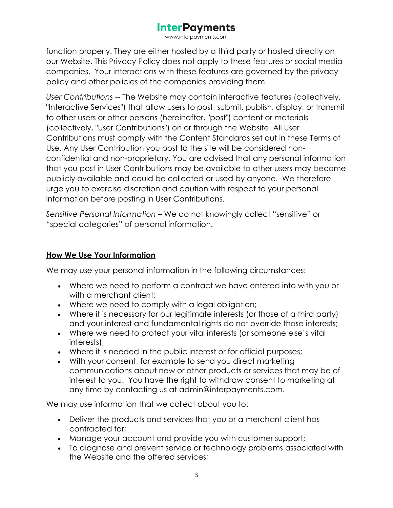www.interpayments.com

function properly. They are either hosted by a third party or hosted directly on our Website. This Privacy Policy does not apply to these features or social media companies. Your interactions with these features are governed by the privacy policy and other policies of the companies providing them.

*User Contributions* -- The Website may contain interactive features (collectively, "Interactive Services") that allow users to post, submit, publish, display, or transmit to other users or other persons (hereinafter, "post") content or materials (collectively, "User Contributions") on or through the Website. All User Contributions must comply with the Content Standards set out in these Terms of Use. Any User Contribution you post to the site will be considered nonconfidential and non-proprietary. You are advised that any personal information that you post in User Contributions may be available to other users may become publicly available and could be collected or used by anyone. We therefore urge you to exercise discretion and caution with respect to your personal information before posting in User Contributions.

*Sensitive Personal Information* – We do not knowingly collect "sensitive" or "special categories" of personal information.

#### **How We Use Your Information**

We may use your personal information in the following circumstances:

- Where we need to perform a contract we have entered into with you or with a merchant client;
- Where we need to comply with a legal obligation;
- Where it is necessary for our legitimate interests (or those of a third party) and your interest and fundamental rights do not override those interests;
- Where we need to protect your vital interests (or someone else's vital interests);
- Where it is needed in the public interest or for official purposes;
- With your consent, for example to send you direct marketing communications about new or other products or services that may be of interest to you. You have the right to withdraw consent to marketing at any time by contacting us at admin@interpayments.com.

We may use information that we collect about you to:

- Deliver the products and services that you or a merchant client has contracted for;
- Manage your account and provide you with customer support;
- To diagnose and prevent service or technology problems associated with the Website and the offered services;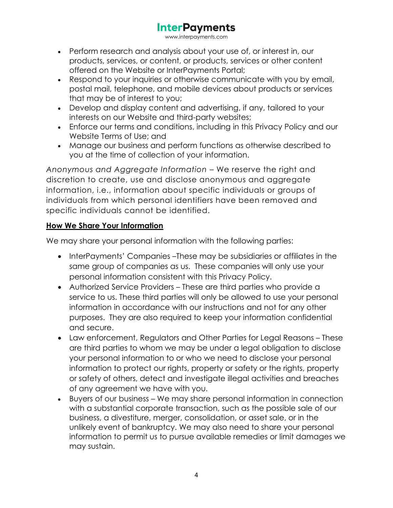www.interpayments.com

- Perform research and analysis about your use of, or interest in, our products, services, or content, or products, services or other content offered on the Website or InterPayments Portal;
- Respond to your inquiries or otherwise communicate with you by email, postal mail, telephone, and mobile devices about products or services that may be of interest to you;
- Develop and display content and advertising, if any, tailored to your interests on our Website and third-party websites;
- Enforce our terms and conditions, including in this Privacy Policy and our Website Terms of Use; and
- Manage our business and perform functions as otherwise described to you at the time of collection of your information.

*Anonymous and Aggregate Information* – We reserve the right and discretion to create, use and disclose anonymous and aggregate information, i.e., information about specific individuals or groups of individuals from which personal identifiers have been removed and specific individuals cannot be identified.

## **How We Share Your Information**

We may share your personal information with the following parties:

- InterPayments' Companies –These may be subsidiaries or affiliates in the same group of companies as us. These companies will only use your personal information consistent with this Privacy Policy.
- Authorized Service Providers These are third parties who provide a service to us. These third parties will only be allowed to use your personal information in accordance with our instructions and not for any other purposes. They are also required to keep your information confidential and secure.
- Law enforcement, Regulators and Other Parties for Legal Reasons These are third parties to whom we may be under a legal obligation to disclose your personal information to or who we need to disclose your personal information to protect our rights, property or safety or the rights, property or safety of others, detect and investigate illegal activities and breaches of any agreement we have with you.
- Buyers of our business We may share personal information in connection with a substantial corporate transaction, such as the possible sale of our business, a divestiture, merger, consolidation, or asset sale, or in the unlikely event of bankruptcy. We may also need to share your personal information to permit us to pursue available remedies or limit damages we may sustain.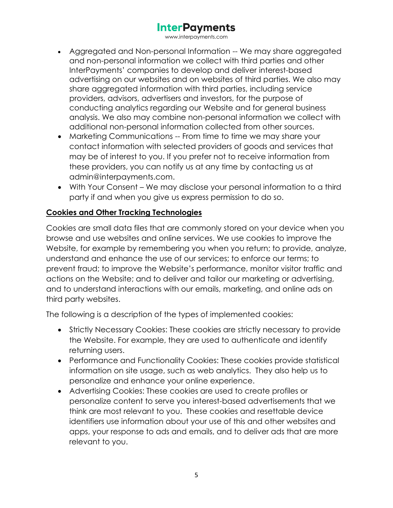www.interpayments.com

- Aggregated and Non-personal Information -- We may share aggregated and non-personal information we collect with third parties and other InterPayments' companies to develop and deliver interest-based advertising on our websites and on websites of third parties. We also may share aggregated information with third parties, including service providers, advisors, advertisers and investors, for the purpose of conducting analytics regarding our Website and for general business analysis. We also may combine non-personal information we collect with additional non-personal information collected from other sources.
- Marketing Communications -- From time to time we may share your contact information with selected providers of goods and services that may be of interest to you. If you prefer not to receive information from these providers, you can notify us at any time by contacting us at admin@interpayments.com.
- With Your Consent We may disclose your personal information to a third party if and when you give us express permission to do so.

## **Cookies and Other Tracking Technologies**

Cookies are small data files that are commonly stored on your device when you browse and use websites and online services. We use cookies to improve the Website, for example by remembering you when you return; to provide, analyze, understand and enhance the use of our services; to enforce our terms; to prevent fraud; to improve the Website's performance, monitor visitor traffic and actions on the Website; and to deliver and tailor our marketing or advertising, and to understand interactions with our emails, marketing, and online ads on third party websites.

The following is a description of the types of implemented cookies:

- Strictly Necessary Cookies: These cookies are strictly necessary to provide the Website. For example, they are used to authenticate and identify returning users.
- Performance and Functionality Cookies: These cookies provide statistical information on site usage, such as web analytics. They also help us to personalize and enhance your online experience.
- Advertising Cookies: These cookies are used to create profiles or personalize content to serve you interest-based advertisements that we think are most relevant to you. These cookies and resettable device identifiers use information about your use of this and other websites and apps, your response to ads and emails, and to deliver ads that are more relevant to you.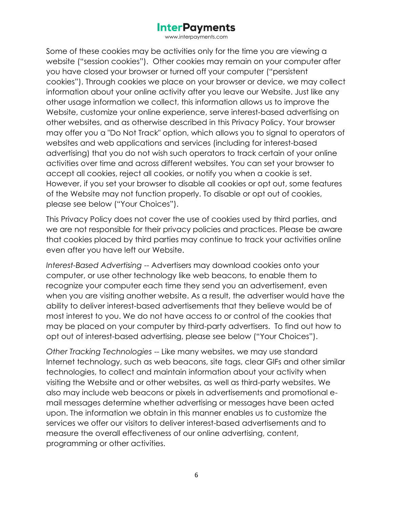www.interpayments.com

Some of these cookies may be activities only for the time you are viewing a website ("session cookies"). Other cookies may remain on your computer after you have closed your browser or turned off your computer ("persistent cookies"). Through cookies we place on your browser or device, we may collect information about your online activity after you leave our Website. Just like any other usage information we collect, this information allows us to improve the Website, customize your online experience, serve interest-based advertising on other websites, and as otherwise described in this Privacy Policy. Your browser may offer you a "Do Not Track" option, which allows you to signal to operators of websites and web applications and services (including for interest-based advertising) that you do not wish such operators to track certain of your online activities over time and across different websites. You can set your browser to accept all cookies, reject all cookies, or notify you when a cookie is set. However, if you set your browser to disable all cookies or opt out, some features of the Website may not function properly. To disable or opt out of cookies, please see below ("Your Choices").

This Privacy Policy does not cover the use of cookies used by third parties, and we are not responsible for their privacy policies and practices. Please be aware that cookies placed by third parties may continue to track your activities online even after you have left our Website.

*Interest-Based Advertising* -- Advertisers may download cookies onto your computer, or use other technology like web beacons, to enable them to recognize your computer each time they send you an advertisement, even when you are visiting another website. As a result, the advertiser would have the ability to deliver interest-based advertisements that they believe would be of most interest to you. We do not have access to or control of the cookies that may be placed on your computer by third-party advertisers. To find out how to opt out of interest-based advertising, please see below ("Your Choices").

*Other Tracking Technologies* -- Like many websites, we may use standard Internet technology, such as web beacons, site tags, clear GIFs and other similar technologies, to collect and maintain information about your activity when visiting the Website and or other websites, as well as third-party websites. We also may include web beacons or pixels in advertisements and promotional email messages determine whether advertising or messages have been acted upon. The information we obtain in this manner enables us to customize the services we offer our visitors to deliver interest-based advertisements and to measure the overall effectiveness of our online advertising, content, programming or other activities.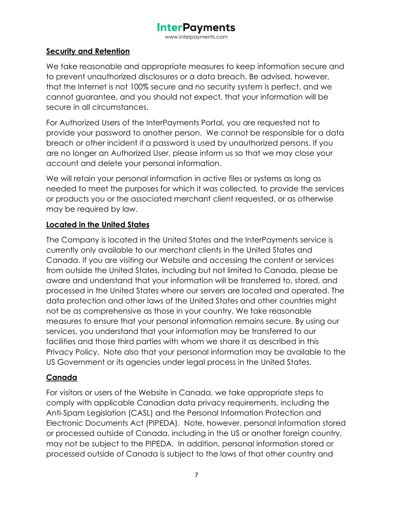www.interpayments.com

#### **Security and Retention**

We take reasonable and appropriate measures to keep information secure and to prevent unauthorized disclosures or a data breach. Be advised, however, that the Internet is not 100% secure and no security system is perfect, and we cannot guarantee, and you should not expect, that your information will be secure in all circumstances.

For Authorized Users of the InterPayments Portal, you are requested not to provide your password to another person. We cannot be responsible for a data breach or other incident if a password is used by unauthorized persons. If you are no longer an Authorized User, please inform us so that we may close your account and delete your personal information.

We will retain your personal information in active files or systems as long as needed to meet the purposes for which it was collected, to provide the services or products you or the associated merchant client requested, or as otherwise may be required by law.

## **Located in the United States**

The Company is located in the United States and the InterPayments service is currently only available to our merchant clients in the United States and Canada. If you are visiting our Website and accessing the content or services from outside the United States, including but not limited to Canada, please be aware and understand that your information will be transferred to, stored, and processed in the United States where our servers are located and operated. The data protection and other laws of the United States and other countries might not be as comprehensive as those in your country. We take reasonable measures to ensure that your personal information remains secure. By using our services, you understand that your information may be transferred to our facilities and those third parties with whom we share it as described in this Privacy Policy. Note also that your personal information may be available to the US Government or its agencies under legal process in the United States.

#### **Canada**

For visitors or users of the Website in Canada, we take appropriate steps to comply with applicable Canadian data privacy requirements, including the Anti-Spam Legislation (CASL) and the Personal Information Protection and Electronic Documents Act (PIPEDA). Note, however, personal information stored or processed outside of Canada, including in the US or another foreign country, may not be subject to the PIPEDA. In addition, personal information stored or processed outside of Canada is subject to the laws of that other country and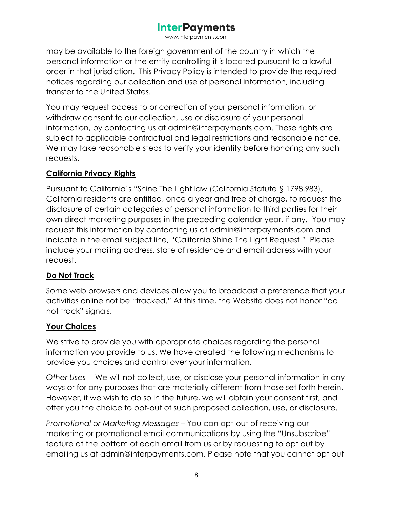www.interpayments.com

may be available to the foreign government of the country in which the personal information or the entity controlling it is located pursuant to a lawful order in that jurisdiction. This Privacy Policy is intended to provide the required notices regarding our collection and use of personal information, including transfer to the United States.

You may request access to or correction of your personal information, or withdraw consent to our collection, use or disclosure of your personal information, by contacting us at admin@interpayments.com. These rights are subject to applicable contractual and legal restrictions and reasonable notice. We may take reasonable steps to verify your identity before honoring any such requests.

### **California Privacy Rights**

Pursuant to California's "Shine The Light law (California Statute § 1798.983), California residents are entitled, once a year and free of charge, to request the disclosure of certain categories of personal information to third parties for their own direct marketing purposes in the preceding calendar year, if any. You may request this information by contacting us at admin@interpayments.com and indicate in the email subject line, "California Shine The Light Request." Please include your mailing address, state of residence and email address with your request.

## **Do Not Track**

Some web browsers and devices allow you to broadcast a preference that your activities online not be "tracked." At this time, the Website does not honor "do not track" signals.

## **Your Choices**

We strive to provide you with appropriate choices regarding the personal information you provide to us. We have created the following mechanisms to provide you choices and control over your information.

*Other Uses* -- We will not collect, use, or disclose your personal information in any ways or for any purposes that are materially different from those set forth herein. However, if we wish to do so in the future, we will obtain your consent first, and offer you the choice to opt-out of such proposed collection, use, or disclosure.

*Promotional or Marketing Messages* – You can opt-out of receiving our marketing or promotional email communications by using the "Unsubscribe" feature at the bottom of each email from us or by requesting to opt out by emailing us at admin@interpayments.com. Please note that you cannot opt out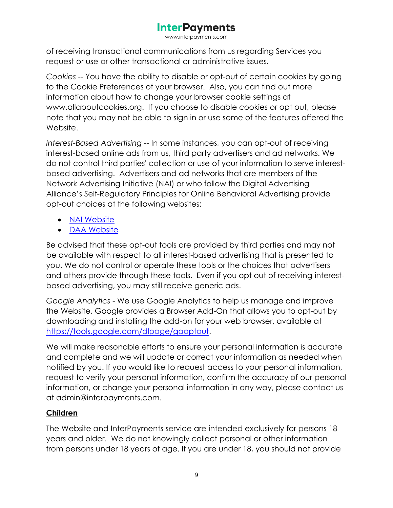www.interpayments.com

of receiving transactional communications from us regarding Services you request or use or other transactional or administrative issues.

*Cookies* -- You have the ability to disable or opt-out of certain cookies by going to the Cookie Preferences of your browser. Also, you can find out more information about how to change your browser cookie settings at www.allaboutcookies.org. If you choose to disable cookies or opt out, please note that you may not be able to sign in or use some of the features offered the Website.

*Interest-Based Advertising* -- In some instances, you can opt-out of receiving interest-based online ads from us, third party advertisers and ad networks. We do not control third parties' collection or use of your information to serve interestbased advertising. Advertisers and ad networks that are members of the Network Advertising Initiative (NAI) or who follow the Digital Advertising Alliance's Self-Regulatory Principles for Online Behavioral Advertising provide opt-out choices at the following websites:

- [NAI Website](https://optout.networkadvertising.org/?c=1)
- [DAA Website](https://optout.aboutads.info/?c=2&lang=EN)

Be advised that these opt-out tools are provided by third parties and may not be available with respect to all interest-based advertising that is presented to you. We do not control or operate these tools or the choices that advertisers and others provide through these tools. Even if you opt out of receiving interestbased advertising, you may still receive generic ads.

*Google Analytics* - We use Google Analytics to help us manage and improve the Website. Google provides a Browser Add-On that allows you to opt-out by downloading and installing the add-on for your web browser, available at [https://tools.google.com/dlpage/gaoptout.](https://tools.google.com/dlpage/gaoptout)

We will make reasonable efforts to ensure your personal information is accurate and complete and we will update or correct your information as needed when notified by you. If you would like to request access to your personal information, request to verify your personal information, confirm the accuracy of our personal information, or change your personal information in any way, please contact us at admin@interpayments.com.

## **Children**

The Website and InterPayments service are intended exclusively for persons 18 years and older. We do not knowingly collect personal or other information from persons under 18 years of age. If you are under 18, you should not provide